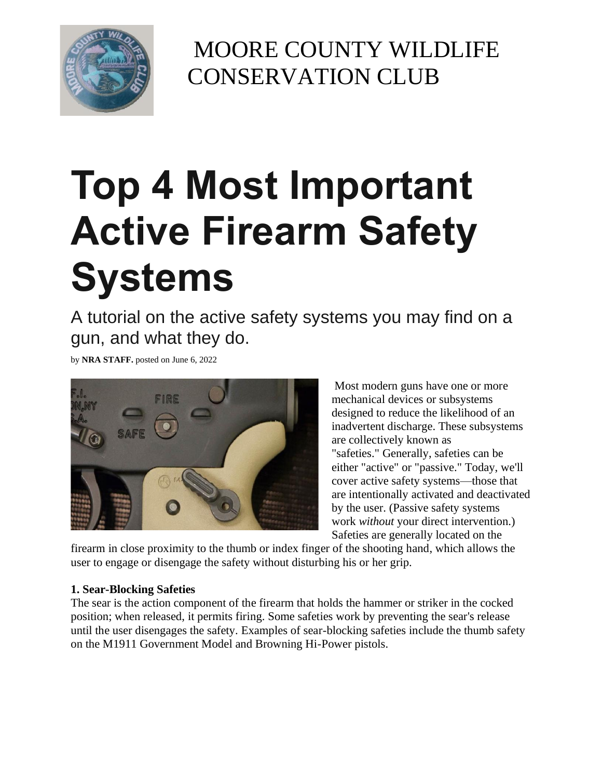

MOORE COUNTY WILDLIFE CONSERVATION CLUB

# **Top 4 Most Important Active Firearm Safety Systems**

A tutorial on the active safety systems you may find on a gun, and what they do.

by **NRA STAFF.** posted on June 6, 2022



Most modern guns have one or more mechanical devices or subsystems designed to reduce the likelihood of an inadvertent discharge. These subsystems are collectively known as "safeties." Generally, safeties can be either "active" or "passive." Today, we'll cover active safety systems—those that are intentionally activated and deactivated by the user. (Passive safety systems work *without* your direct intervention.) Safeties are generally located on the

firearm in close proximity to the thumb or index finger of the shooting hand, which allows the user to engage or disengage the safety without disturbing his or her grip.

#### **1. Sear-Blocking Safeties**

The sear is the action component of the firearm that holds the hammer or striker in the cocked position; when released, it permits firing. Some safeties work by preventing the sear's release until the user disengages the safety. Examples of sear-blocking safeties include the thumb safety on the M1911 Government Model and Browning Hi-Power pistols.